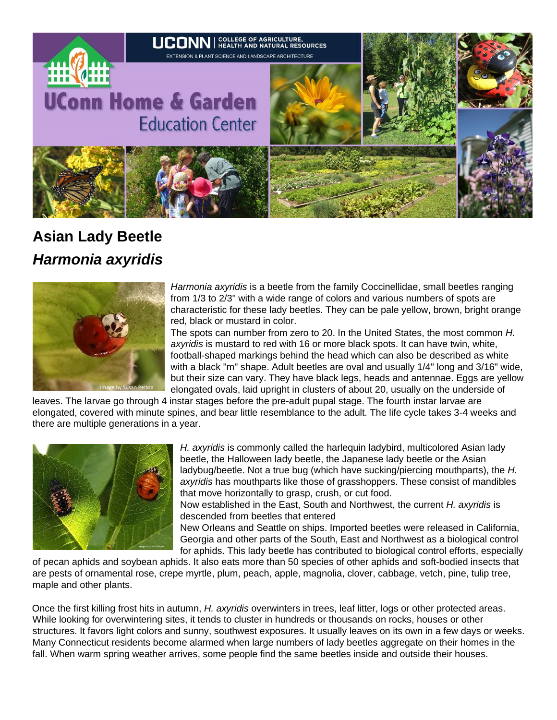

## **Asian Lady Beetle**  *Harmonia axyridis*



*Harmonia axyridis* is a beetle from the family Coccinellidae, small beetles ranging from 1/3 to 2/3" with a wide range of colors and various numbers of spots are characteristic for these lady beetles. They can be pale yellow, brown, bright orange red, black or mustard in color.

The spots can number from zero to 20. In the United States, the most common *H. axyridis* is mustard to red with 16 or more black spots. It can have twin, white, football-shaped markings behind the head which can also be described as white with a black "m" shape. Adult beetles are oval and usually 1/4" long and 3/16" wide, but their size can vary. They have black legs, heads and antennae. Eggs are yellow elongated ovals, laid upright in clusters of about 20, usually on the underside of

leaves. The larvae go through 4 instar stages before the pre-adult pupal stage. The fourth instar larvae are elongated, covered with minute spines, and bear little resemblance to the adult. The life cycle takes 3-4 weeks and there are multiple generations in a year.



*H. axyridis* is commonly called the harlequin ladybird, multicolored Asian lady beetle, the Halloween lady beetle, the Japanese lady beetle or the Asian ladybug/beetle. Not a true bug (which have sucking/piercing mouthparts), the *H. axyridis* has mouthparts like those of grasshoppers. These consist of mandibles that move horizontally to grasp, crush, or cut food.

Now established in the East, South and Northwest, the current *H. axyridis* is descended from beetles that entered

New Orleans and Seattle on ships. Imported beetles were released in California, Georgia and other parts of the South, East and Northwest as a biological control for aphids. This lady beetle has contributed to biological control efforts, especially

of pecan aphids and soybean aphids. It also eats more than 50 species of other aphids and soft-bodied insects that are pests of ornamental rose, crepe myrtle, plum, peach, apple, magnolia, clover, cabbage, vetch, pine, tulip tree, maple and other plants.

Once the first killing frost hits in autumn, *H. axyridis* overwinters in trees, leaf litter, logs or other protected areas. While looking for overwintering sites, it tends to cluster in hundreds or thousands on rocks, houses or other structures. It favors light colors and sunny, southwest exposures. It usually leaves on its own in a few days or weeks. Many Connecticut residents become alarmed when large numbers of lady beetles aggregate on their homes in the fall. When warm spring weather arrives, some people find the same beetles inside and outside their houses.